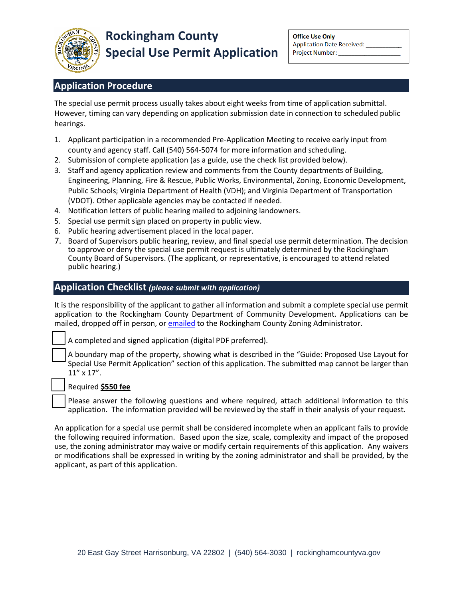

# **Application Procedure**

The special use permit process usually takes about eight weeks from time of application submittal. However, timing can vary depending on application submission date in connection to scheduled public hearings.

- 1. Applicant participation in a recommended Pre-Application Meeting to receive early input from county and agency staff. Call (540) 564-5074 for more information and scheduling.
- 2. Submission of complete application (as a guide, use the check list provided below).
- 3. Staff and agency application review and comments from the County departments of Building, Engineering, Planning, Fire & Rescue, Public Works, Environmental, Zoning, Economic Development, Public Schools; Virginia Department of Health (VDH); and Virginia Department of Transportation (VDOT). Other applicable agencies may be contacted if needed.
- 4. Notification letters of public hearing mailed to adjoining landowners.
- 5. Special use permit sign placed on property in public view.
- 6. Public hearing advertisement placed in the local paper.
- 7. Board of Supervisors public hearing, review, and final special use permit determination. The decision to approve or deny the special use permit request is ultimately determined by the Rockingham County Board of Supervisors. (The applicant, or representative, is encouraged to attend related public hearing.)

## **Application Checklist** *(please submit with application)*

It is the responsibility of the applicant to gather all information and submit a complete special use permit application to the Rockingham County Department of Community Development. Applications can be mailed, dropped off in person, or [emailed](mailto:kgetz@rockinghamcountyva.gov) to the Rockingham County Zoning Administrator.

A completed and signed application (digital PDF preferred).

A boundary map of the property, showing what is described in the "Guide: Proposed Use Layout for Special Use Permit Application" section of this application. The submitted map cannot be larger than 11" x 17".

### □ Required **\$550 fee**

Please answer the following questions and where required, attach additional information to this application. The information provided will be reviewed by the staff in their analysis of your request.

An application for a special use permit shall be considered incomplete when an applicant fails to provide the following required information. Based upon the size, scale, complexity and impact of the proposed use, the zoning administrator may waive or modify certain requirements of this application. Any waivers or modifications shall be expressed in writing by the zoning administrator and shall be provided, by the applicant, as part of this application.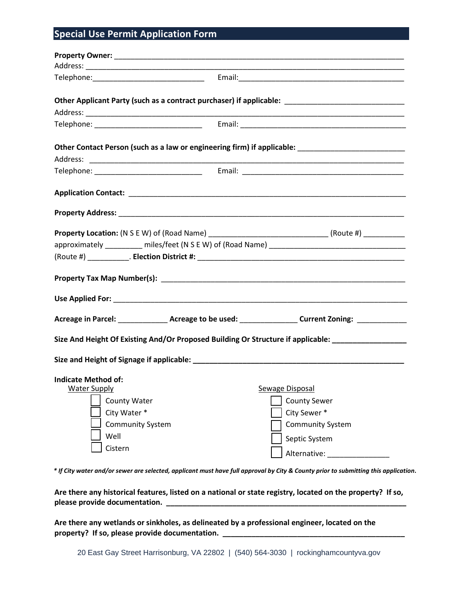## **Special Use Permit Application Form**

|                                                                                                                 |  | Other Applicant Party (such as a contract purchaser) if applicable: ________________________________       |
|-----------------------------------------------------------------------------------------------------------------|--|------------------------------------------------------------------------------------------------------------|
|                                                                                                                 |  |                                                                                                            |
|                                                                                                                 |  |                                                                                                            |
|                                                                                                                 |  | Other Contact Person (such as a law or engineering firm) if applicable: ___________________________        |
|                                                                                                                 |  |                                                                                                            |
|                                                                                                                 |  |                                                                                                            |
|                                                                                                                 |  |                                                                                                            |
|                                                                                                                 |  |                                                                                                            |
| <b>Property Location:</b> (N S E W) of (Road Name) ___________________________________(Route #) _______________ |  |                                                                                                            |
|                                                                                                                 |  |                                                                                                            |
|                                                                                                                 |  |                                                                                                            |
|                                                                                                                 |  |                                                                                                            |
|                                                                                                                 |  |                                                                                                            |
|                                                                                                                 |  | Acreage in Parcel: _________________Acreage to be used: ____________________Current Zoning: ______________ |
| Size And Height Of Existing And/Or Proposed Building Or Structure if applicable: __________________             |  |                                                                                                            |
|                                                                                                                 |  |                                                                                                            |
| <b>Indicate Method of:</b>                                                                                      |  |                                                                                                            |
| <u>Water Supply</u>                                                                                             |  | <b>Sewage Disposal</b>                                                                                     |
| <b>County Water</b>                                                                                             |  | <b>County Sewer</b>                                                                                        |
| City Water *                                                                                                    |  | City Sewer*                                                                                                |
| <b>Community System</b>                                                                                         |  | <b>Community System</b>                                                                                    |
| Well                                                                                                            |  | Septic System                                                                                              |
| Cistern                                                                                                         |  | Alternative:                                                                                               |
|                                                                                                                 |  |                                                                                                            |

*\* If City water and/or sewer are selected, applicant must have full approval by City & County prior to submitting this application***.**

**Are there any historical features, listed on a national or state registry, located on the property? If so, please provide documentation. \_\_\_\_\_\_\_\_\_\_\_\_\_\_\_\_\_\_\_\_\_\_\_\_\_\_\_\_\_\_\_\_\_\_\_\_\_\_\_\_\_\_\_\_\_\_\_\_\_\_\_\_\_\_\_\_\_\_**

**Are there any wetlands or sinkholes, as delineated by a professional engineer, located on the**  property? If so, please provide documentation.